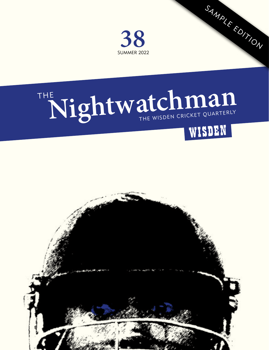

# THE Nightwatchman



SAMPLE EDITION

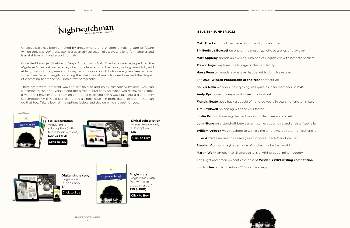

Cricket's past has been enriched by great writing and Wisden is making sure its future will be too. *The Nightwatchman* is a quarterly collection of essays and long-form articles and is available in print and e-book formats.

Co-edited by Anjali Doshi and Tanya Aldred, with Matt Thacker as managing editor, *The Nightwatchman* features an array of authors from around the world, writing beautifully and at length about the game and its myriad offshoots. Contributors are given free rein over subject matter and length, escaping the pressures of next-day deadlines and the despair of cramming heart and soul into a few paragraphs.

There are several different ways to get hold of and enjoy *The Nightwatchman*. You can subscribe to the print version and get a free digital copy for when you're travelling light. If you don't have enough room on your book case, you can always take out a digital-only subscription. Or if you'd just like to buy a single issue – in print, digital or both – you can do that too. Take a look at the options below and decide which is best for you.





**Digital single copy** Single issue (e-book only) **£4**

[Click to Buy](http://www.thenightwatchman.net/buy/product-category/single-issues)



**ISSUE 38 – SUMMER 2022**

SAMPLER THE NIGHTWATCHMAN

**Matt Thacker** introduces issue 38 of the Nightwatchman

**Sir Geoffrey Boycott** on one of the most hypnotic passages of play ever

**Matt Appleby** spends an evening with one of English cricket's best storytellers

**Trevor Auger** explores the lineage of the Kerr family

**Harry Pearson** wonders whatever happened to John Newstead

The **2021 Wisden Photograph of the Year** competition

**Souvik Naha** wonders if everything was quite as it seemed back in 1945

**Andy Ryan** goes underground in search of cricket

**Francis Neate** goes back a couple of hundred years in search of cricket in Italy

**Tim Cawkwell** on coping with the chill factor

**Justin Paul** on travelling the backwoods of New Zealand cricket

**John Stone** on a stand-off between a mischievous umpire and a feisty Australian

**William Dobson** was in Lahore to witness the long-awaited return of Test cricket

**Luke Alfred** assesses the case against Proteas coach Mark Boucher

**Stephen Connor** imagines a game of cricket in a broken world

**Martin Wynn** argues that Staffordshire is anything but a 'minor' county

The Nightwatchman presents the best of **Wisden's 2021 writing competition**

**Jon Hotten** on Hambledon's 250th anniversary

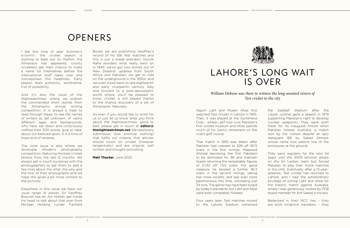## OPENERS

SAMPLER

I like this time of year. Summer's a-comin' the cricket season is starting to beat out its rhythm, the Almanack has appeared, county cricketers get their chance to make a name for themselves before the international stuff takes over and monopolises the headlines. Early season feels authentic, worthwhile. Full of possibility.

And it's also the issue of the *Nightwatchman* where we publish the commended short stories from the Almanack's annual writing competition. It is always a treat to read through these, to see the names of writers as yet unknown, of vastly different ages and backgrounds, who have sat down and consciously crafted their 500 words, give or take, about our beloved sport. It is a time of hope and of renewal.

The June issue is also where we showcase *Wisden*'s photography competition, featuring the best cricket photos from the last 12 months. We always get in touch ourselves with the photographers to ask them to add a few lines about the what, the why and the how of their photographs and we hope this gives a bit more context to the pictures.

Elsewhere in this issue we have our usual range of pieces. Sir Geoffrey Boycott has let Jon Hotten get inside his head to talk about that over from Michael Holding (under Fairfield Books we are publishing Geoffrey's record of his 108 Test matches and this is just a sneak preview); Souvik Naha wonders what really went on in 1945; we've got two stories out of New Zealand; updates from South Africa and Pakistan; we get to ride on the underground in the 1930s; and we even travel back to late eighteenth and early nineteenth century Italy and forward to a post-apocalyptic world where, you'll be pleased to know, cricket is still played thanks to the chance discovery of a set of Almanacks. Naturally.

As ever, if you would like to write for us or just let us know what you think about the *Nightwatchman*, good or bad, please get in touch at **editor@ thenightwatchman.net**. We read every submission (but promise nothing) that fulfils our criteria: that articles should touch on cricket (however tangentially) and are original, well written and thought-provoking.

**Matt Thacker**, June 2022



THE NIGHTWATCHMAN -

## LAHORE'S LONG WAIT IS OVER

### *William Dobson was there to witness the long-awaited return of Test cricket to the city*

Najum Latif and Mueen Afzal first watched Test cricket in Lahore in 1955. Then, it was played at the Gymkhana Club – where Latif now runs Pakistan's first cricket museum and Afzal spends much of his (semi) retirement on the club's golf course.

That match in 1955 was drawn after Pakistan had crawled to 328 off 1875 overs in the first innings; Maqsood Ahmad becoming the first Pakistani to be dismissed for 99 and Subhash Gupte returning the remarkable figures of 5-133 off 73.5 overs. For good measure, he bowled a further 36.3 overs in the second innings, taking two more wickets, and was even more parsimonious this time, conceding just 34 runs. The game may have been turgid by today's standards, but Latif and Afzal were both completely hooked.

Four years later, Test matches moved to the Lahore Stadium (renamed the Gaddafi Stadium after the Libyan colonel gave a speech in 1974 supporting Pakistan's right to develop nuclear weapons). They were both there for its inaugural fixture when Pakistan hosted Australia, a match won by the visitors despite an epic rearguard 166 by Saeed Ahmed, whose name now adorns one of the enclosures at the ground.

They went regularly for the next 54 years until the 2009 terrorist attack on the Sri Lankan team bus forced Pakistan to play their home matches in the UAE. Eventually, after a 13-yearabsence, Test cricket has returned to Lahore, and I had the extraordinary privilege of joining Latif and Afzal for the historic match against Australia, where I was generously hosted by PCB board member Mr Arif Saeed in his box.

Bedecked in their MCC ties – they are both longtime members – they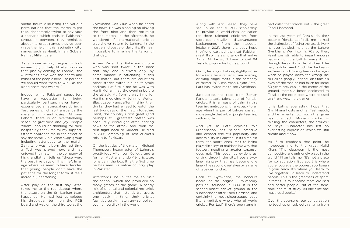spend hours discussing the various permutations that the match might take, desperately trying to envisage a scenario which ends in Pakistan's favour. In between, they reminisce about the great names they've seen grace the field in this fascinating city; names such as Hanif, Imran, Sobers, Kanhai, Miller, Lara.

As a home victory begins to look increasingly unlikely, Afzal announces that, just by coming to Lahore, "the Australians have won the hearts and minds of the people here – so perhaps we should want them to win... as the good hosts that we are..."

Indeed, while Pakistani supporters have a reputation for being particularly partisan, never have I experienced an atmosphere during a Test series which so transcends the mere winning and losing. All over Lahore, there is an overwhelming sense of gratitude and joy. People whom I should be thanking for their hospitality, thank me for my support. Others approach me in the street to say the same. On a WhatsApp group including attendees to the match, Zain, who wasn't born the last time a Test was played here and has enjoyed the match in the company of his grandfather, tells us "these were the best five days of [his] life". In an age where we seem to have decided that young people don't have the patience for the longer form, it feels incredibly heartening.

After play on the first day, Afzal takes me to the roundabout where the attack on the Sri Lankan team happened. He had just completed his three-year term on the PCB board and was on the third tee at the

Gymkhana Golf Club when he heard the news. He was planning on playing the front nine and then returning to the match. In the aftermath, he wondered if international cricket would ever return to Lahore. In the hustle and bustle of daily life, it's near impossible to imagine the terror of that day.

Ahsan Raza, the Pakistani umpire who was shot twice in the back that day and survived only by some miracle, is officiating in this Test match, but there are countless other stories without such fairytale endings. Latif tells me he was with Hanif Mohammad the evening before the attack. At 7pm it was time for Hanif's medicine – Johnnie Walker Black Label – and, after finishing their drinks, they had agreed to watch the last two days of the match together. Hanif, the country's first great (and perhaps still greatest) batter was absolutely distraught after hearing news of the attack and took the first flight back to Karachi. He died in 2016, dreaming of Test cricket's return to Pakistan.

On the last day of the match, Michael Thompson, headmaster of Lahore's prestigious Aitchison College and a former Australia under-19 cricketer joins us in the box. It is the first time he has seen his native country play in Pakistan.

Afterwards, he invites me to visit the school, which has produced so many greats of the game. A heady mix of oriental and colonial red-brick architecture that instantly transports one back in time, their cricket facilities surely match any school (or even university) in the world.

Along with Arif Saeed, they have set up an annual PCB scholarship to provide a world-class education for three talented cricketers from socio-economically disadvantaged backgrounds. From the inaugural intake in 2021, there is already hope they've unearthed the next Pakistani great. If so, there's huge joy that, unlike Azhar Ali, he won't have to wait 94 Tests to play on his home ground.

On my last day in Lahore, slightly worse for wear after a rather surreal evening drinking single malts in the company of former PCB chairman Najam Sethi, Latif has invited me to see Gymkhana.

Just across the road from Zaman Park, a notable talent pool of Punjabi cricket, it is an oasis of calm in this teeming metropolis. It harks back to an age when this part of Lahore was still more jungle that urban jungle, teeming with wildlife.

And yet, as Latif explains, this urbanisation has helped preserve and expand cricket's popularity and accessibility in Pakistan. In its simplest form, the sport lends itself to being played in alleys or maidans in a way that football, needing a greater expanse, does not. This becomes evident as, driving through the city, I see a twolane highway that has become one lane – the second overtaken by a game of tape-ball cricket.

Back at Gymkhana, the honours board of the original 19th-century pavilion (founded in 1880, it is the second-oldest cricket ground in the subcontinent after Eden Gardens, and certainly the most picturesque) reads like a veritable who's who of world cricket. For Latif, there's one name in particular that stands out – the great Fazal Mahmood.

- THE NIGHTWATCHMAN

In the last years of Fazal's life, they became friends. Latif tells me he had the distinction of facing the last delivery he ever bowled, here at the Lahore Gymkhana. Well into his 70s by then, Fazal was still able to impart enough backspin on the ball to make it fizz through the air. But while Latif heard the ball, he didn't see it. Much like Bradman's explanation of having tears in his eyes when he played down the wrong line to Hollies' googly, Latif couldn't take his eyes off the man he had fallen for some 50 years previous. In the corner of the ground, there's a bench dedicated to Fazal, at the exact spot where he used to sit and watch the games.

It is Latif's everlasting hope that Gymkhana hosts another Test match, and he laments how much the game has changed. "Modern cricket is missing the characters, the stories," he says. "Character has left an everlasting impression which we still dream about now."

As if to emphasis that point, he introduces me to the great Majid Khan. "The classroom is the most competitive and unfriendly place in the world," Khan tells me. "It's not a place for collaboration. But sport is where you encourage the poorest sportsman in your team. It's where you learn to live together. To learn to understand people. This is the greatness of sport. It forces us to become more civilised and better people. But at the same time, one must study. All one's life one must read books."

Over the course of our conversation he touches on subjects ranging from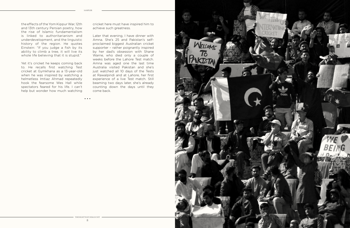• • •

the effects of the Yom Kippur War, 12th and 13th century Persian poetry, how the rise of Islamic fundamentalism is linked to authoritarianism and underdevelopment, and the linguistic history of the region. He quotes Einstein: "If you judge a fish by its ability to climb a tree, it will live its whole life believing that it is stupid."

Yet it's cricket he keeps coming back to. He recalls first watching Test cricket at Gymkhana as a 13-year-old when he was inspired by watching a helmetless Imtiaz Ahmad repeatedly hook the fearsome Wes Hall while spectators feared for his life. I can't help but wonder how much watching cricket here must have inspired him to achieve such greatness.

Later that evening, I have dinner with Amna. She's 25 and Pakistan's selfproclaimed biggest Australian cricket supporter – rather poignantly inspired by her dad's obsession with Shane Warne, who died only a couple of weeks before the Lahore Test match. Amna was aged one the last time Australia visited Pakistan and she's just watched all 10 days of the Tests at Rawalpindi and at Lahore, her first experience of a live Test match. Still beaming two days later, she's already counting down the days until they come back.

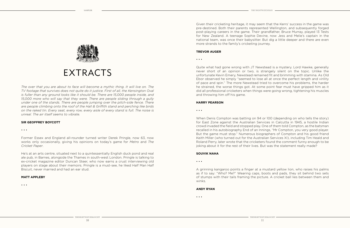

# EXTRACTS

The over that you are about to face will become a mythic thing. It will live on. The *TV footage that survives does not quite do it justice. First of all, the Kensington Oval is fuller than any ground looks like it should be. There are 15,000 people inside, and 15,000 more who will say that they were. There are people sliding through a gully under one of the stands. There are people jumping over the pitch-side fence. There are people climbing onto the roof of the Hall & Griffith stand and perching like birds on the raked tin. Every seat, every row, every aisle of every stand is full. The noise is unreal. The air itself seems to vibrate.* 

#### **SIR GEOFFREY BOYCOTT**

#### • • •

Former Essex and England all-rounder turned writer Derek Pringle, now 63, now works only occasionally, giving his opinions on today's game for *Metro* and *The Cricket Paper*.

He's at an arts centre, situated next to a quintessentially English duck pond and real ale pub, in Barnes, alongside the Thames in south-west London. Pringle is talking to ex-cricket magazine editor Duncan Steer, who now earns a crust interviewing old players on stage about their memoirs. Pringle is a must-see, he liked Half Man Half Biscuit, never married and had an ear stud.

#### **MATT APPLEBY**

#### • • •

Given their cricketing heritage, it may seem that the Kerrs' success in the game was pre-destined. Both their parents represented Wellington, and subsequently forged post-playing careers in the game. Their grandfather, Bruce Murray, played 13 Tests for New Zealand. A teenage Sophie Devine, now Jess and Melie's captain in the national team, was once their babysitter. But dig a little deeper and there are even more strands to the family's cricketing journey.

#### **TREVOR AUGER**

• • •

Quite what had gone wrong with JT Newstead is a mystery. Lord Hawke, generally never short of an opinion or two, is strangely silent on the topic. Unlike the unfortunate Kevin Emery, Newstead remained fit and brimming with stamina. As Old Ebor observed he simply "seemed to lose all at once the perfect length and virility of pace and spin." The more Newstead tried to overcome his problems, the harder he strained, the worse things got. At some point fear must have gripped him as it did all professional cricketers when things were going wrong, tightening his muscles and throwing him off his game.

#### **HARRY PEARSON**

• • •

When Denis Compton was batting on 94 or 100 (depending on who tells the story) for East Zone against the Australian Services in Calcutta in 1945, a hostile Indian crowd invaded the field and stopped play. One of them told Compton, as the batsman recalled in his autobiography End of an Innings, "Mr Compton, you very good player. But the game must stop." Numerous biographers of Compton and his good friend Keith Miller (who turned out for the Australian Services XI), including Tim Heald and Roland Perry, later wrote that the cricketers found the comment funny enough to be joking about it for the rest of their lives. But was the statement really made?

#### **SOUVIK NAHA**

• • •

A grinning kangaroo points a finger at a mustard yellow lion, who raises his palms as if to say: "Who? Me?" Wearing caps, boots and pads, they sit behind two sets of stumps with their tails framing the picture. A cricket ball lies between them and winks.

#### **ANDY RYAN**

• • •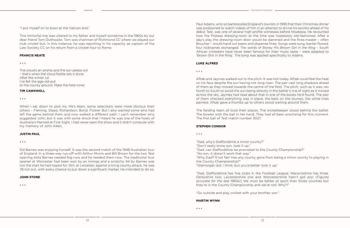"I put myself on to bowl at the Vatican end."

This immortal line was uttered to my father and myself sometime in the 1960s by our dear friend Tom Outhwaite. Tom was chairman of Richmond CC where we played our club cricket but, in this instance, he was reporting in his capacity as captain of the Law Society CC on his return from a cricket tour to Rome.

#### **FRANCIS NEATE**

#### • • •

The cloud's an airship and the sun peeps out – that's when the cloud flotilla lets it shine. After the winter lull I've felt the age-old pull to the county ground. Make the field mine!

#### **TIM CAWKWELL**

• • •

When I sat down to pick my life's team, some selections were more obvious than others – Fleming, Stead, Richardson, Bond, Flower. But I also wanted some who had left the game behind them and now walked a different path. I can't remember who suggested John, but it was with some shock that I heard he was one of the hosts of Australia's Married at First Sight. I had never seen the show and it didn't compute with my memory of John Aiken.

#### **JUSTIN PAUL**

#### • • •

Sid Barnes was enjoying himself. It was the second match of the 1948 Australian tour of England. In a three-way run-off with Arthur Morris and Bill Brown for the two Test opening slots Barnes needed big runs and he needed them now. The traditional tour opener at Worcester had been won by an innings and a scratchy 44 by Barnes was not the start he had hoped for. Still, at Leicester, against a tiring county attack, he was 78 not out, with every chance to put down a significant marker. He intended to do so.

#### **JOHN STONE**

• • •

Paul Adams, who so bamboozled England's tourists in 1995 that their Christmas dinner was postponed to watch videos of him in an attempt to divine his secrets ahead of his debut Test, was one of several high-profile witnesses before Ntsebeza. He recounted how the Proteas dressing-room at the time was hopelessly old-fashioned. After a day's play the dressing-room door would be slammed and the fines-master – often Boucher – would hand out beers and dispense fines. Songs were sung, banter flowed, foul nicknames exchanged. The words of Boney M's *Brown Girl in the Ring* – South African cricketers have never been famous for their music taste – were adapted to 'Brown Shit in the Ring'. The song was applied specifically to Adams.

#### **LUKE ALFRED**

• • •

Aftab and Jaymes walked out to the pitch. It was hot today. Aftab could feel the heat on his face despite the sun having not long risen. The pair cast long shadows ahead of them as they moved towards the centre of the field. The pitch, such as it was, ran North to South to avoid the sun being directly in the batter's line of sight as it moved across the sky. Jaymes had read about that in one of the books he'd found. The pair of them checked everything was in place, the bails on the stumps, the white lines painted. Aftab gave a thumbs up to others stood waiting around them.

The fielding team all took their places. The wicketkeeper stood behind the batter. The bowler with the ball in her hand. They had all been practising for this moment. The first ball of Test match number 3027.

#### **STEPHEN CONNOR**

• • •

"Dad, why's Staffordshire a minor county?"

- "Don't really know son, look it up."
- "Dad, can Staffordshire be promoted to the County Championship?"

"No son, it doesn't work that way."

"Why Dad? S'not fair! Has any county gone from being a minor county to playing in the County Championship?"

"Glamorgan did, I think, but you'd better look it up."

"Dad, Staffordshire has five clubs in the Football League, Warwickshire has three, Derbyshire two, Leicestershire one and Worcestershire hasn't got any! (*Figures accurate for the late 1960s!*) We must be better at sport than those counties but they're in the County Championship and we're not! Why?!"

"Go outside and play cricket with your brother, son."

#### **MARTIN WYNN**

• • •